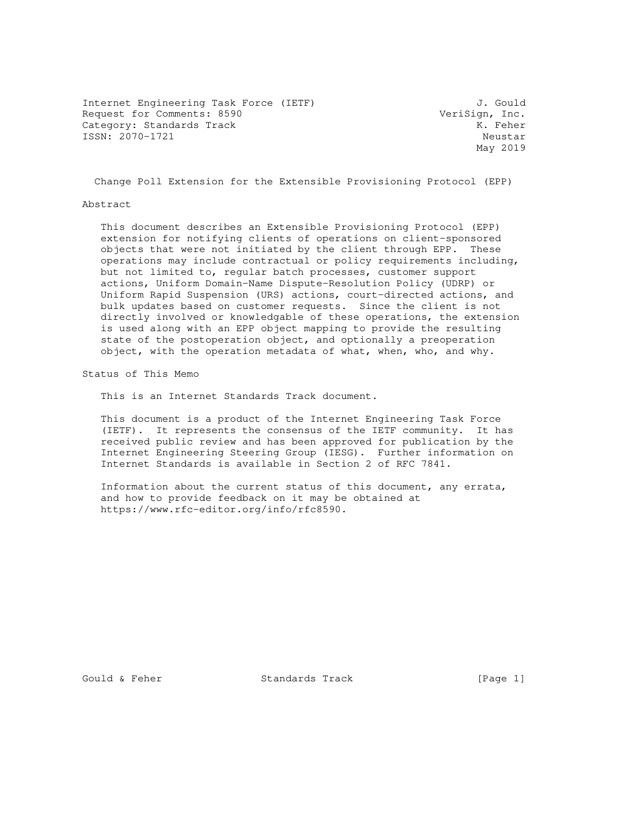Internet Engineering Task Force (IETF) 3. Gould Request for Comments: 8590 VeriSign, Inc. Category: Standards Track Manuscript Category: Standards Track ISSN: 2070-1721 Neustar

May 2019

Change Poll Extension for the Extensible Provisioning Protocol (EPP)

### Abstract

 This document describes an Extensible Provisioning Protocol (EPP) extension for notifying clients of operations on client-sponsored objects that were not initiated by the client through EPP. These operations may include contractual or policy requirements including, but not limited to, regular batch processes, customer support actions, Uniform Domain-Name Dispute-Resolution Policy (UDRP) or Uniform Rapid Suspension (URS) actions, court-directed actions, and bulk updates based on customer requests. Since the client is not directly involved or knowledgable of these operations, the extension is used along with an EPP object mapping to provide the resulting state of the postoperation object, and optionally a preoperation object, with the operation metadata of what, when, who, and why.

Status of This Memo

This is an Internet Standards Track document.

 This document is a product of the Internet Engineering Task Force (IETF). It represents the consensus of the IETF community. It has received public review and has been approved for publication by the Internet Engineering Steering Group (IESG). Further information on Internet Standards is available in Section 2 of RFC 7841.

 Information about the current status of this document, any errata, and how to provide feedback on it may be obtained at https://www.rfc-editor.org/info/rfc8590.

Gould & Feher Standards Track [Page 1]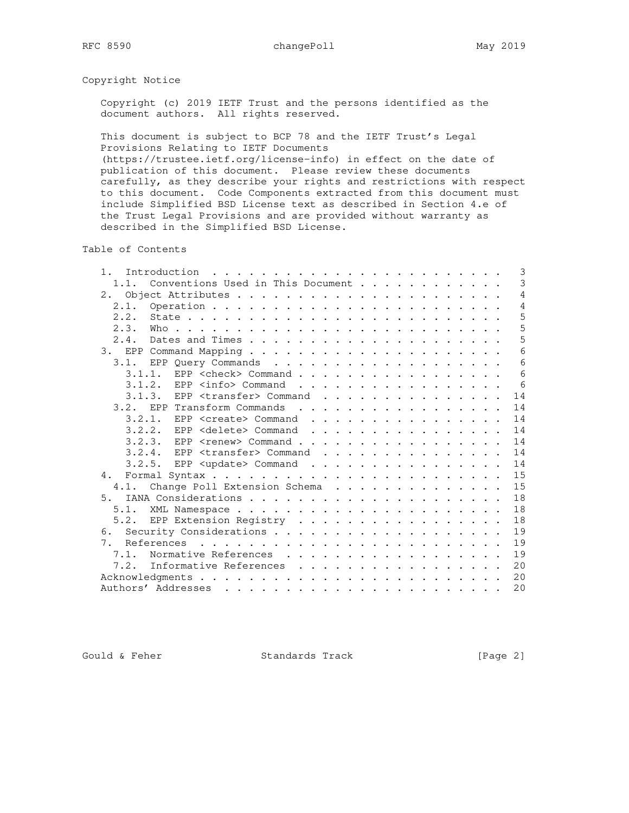## Copyright Notice

 Copyright (c) 2019 IETF Trust and the persons identified as the document authors. All rights reserved.

 This document is subject to BCP 78 and the IETF Trust's Legal Provisions Relating to IETF Documents

 (https://trustee.ietf.org/license-info) in effect on the date of publication of this document. Please review these documents carefully, as they describe your rights and restrictions with respect to this document. Code Components extracted from this document must include Simplified BSD License text as described in Section 4.e of the Trust Legal Provisions and are provided without warranty as described in the Simplified BSD License.

Table of Contents

| $1$ .                                         | 3              |
|-----------------------------------------------|----------------|
| Conventions Used in This Document<br>1.1.     | 3              |
| 2.                                            | 4              |
|                                               | $\overline{4}$ |
| 2.2.                                          | 5              |
| 2.3.                                          | 5              |
| 2.4.                                          | 5              |
|                                               | 6              |
| 3.1. EPP Query Commands                       | 6              |
| EPP <check> Command<br/>3.1.1.</check>        | 6              |
| $3.1.2.$ EPP $\langle$ info $\rangle$ Command | - 6            |
| $3.1.3.$ EPP <transfer> Command</transfer>    | 14             |
| EPP Transform Commands<br>3.2.                | 14             |
| $3.2.1.$ EPP <create> Command</create>        | 14             |
| $3.2.2.$ EPP <delete> Command</delete>        | 14             |
| 3.2.3. EPP <renew> Command</renew>            | 14             |
| $3.2.4.$ EPP <transfer> Command</transfer>    | 14             |
| $3.2.5.$ EPP <update> Command</update>        | 14             |
| 4.                                            | 15             |
| Change Poll Extension Schema<br>4.1.          | 15             |
| 5.                                            | 18             |
| 5.1.                                          | 18             |
| 5.2. EPP Extension Registry                   | 18             |
|                                               | 19             |
| References<br>7 <sup>1</sup>                  | 19             |
| 7.1.<br>Normative References                  | 19             |
| Informative References<br>7.2.                | 20             |
|                                               | 20             |
|                                               | 20             |
|                                               |                |

Gould & Feher Standards Track [Page 2]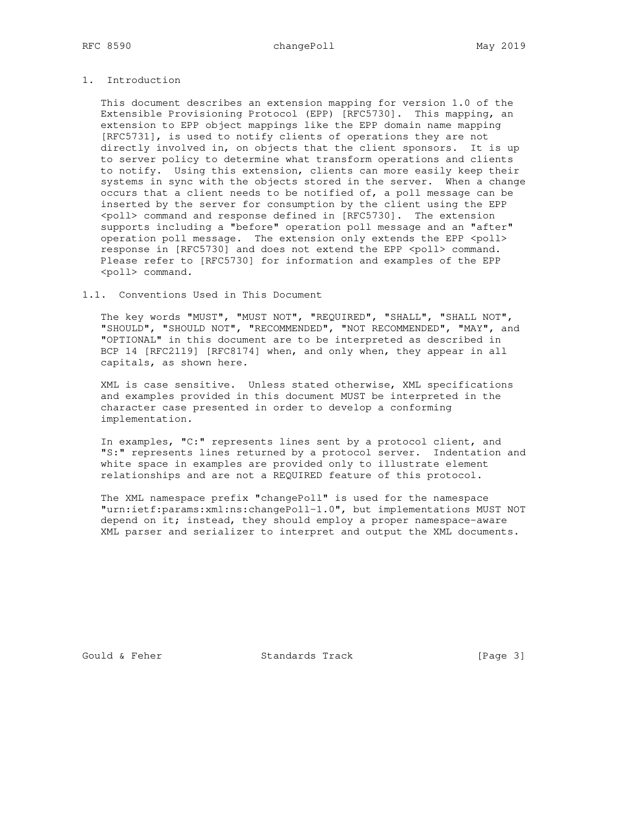## 1. Introduction

 This document describes an extension mapping for version 1.0 of the Extensible Provisioning Protocol (EPP) [RFC5730]. This mapping, an extension to EPP object mappings like the EPP domain name mapping [RFC5731], is used to notify clients of operations they are not directly involved in, on objects that the client sponsors. It is up to server policy to determine what transform operations and clients to notify. Using this extension, clients can more easily keep their systems in sync with the objects stored in the server. When a change occurs that a client needs to be notified of, a poll message can be inserted by the server for consumption by the client using the EPP <poll> command and response defined in [RFC5730]. The extension supports including a "before" operation poll message and an "after" operation poll message. The extension only extends the EPP <poll> response in [RFC5730] and does not extend the EPP <poll> command. Please refer to [RFC5730] for information and examples of the EPP <poll> command.

### 1.1. Conventions Used in This Document

 The key words "MUST", "MUST NOT", "REQUIRED", "SHALL", "SHALL NOT", "SHOULD", "SHOULD NOT", "RECOMMENDED", "NOT RECOMMENDED", "MAY", and "OPTIONAL" in this document are to be interpreted as described in BCP 14 [RFC2119] [RFC8174] when, and only when, they appear in all capitals, as shown here.

 XML is case sensitive. Unless stated otherwise, XML specifications and examples provided in this document MUST be interpreted in the character case presented in order to develop a conforming implementation.

 In examples, "C:" represents lines sent by a protocol client, and "S:" represents lines returned by a protocol server. Indentation and white space in examples are provided only to illustrate element relationships and are not a REQUIRED feature of this protocol.

 The XML namespace prefix "changePoll" is used for the namespace "urn:ietf:params:xml:ns:changePoll-1.0", but implementations MUST NOT depend on it; instead, they should employ a proper namespace-aware XML parser and serializer to interpret and output the XML documents.

Gould & Feher Standards Track [Page 3]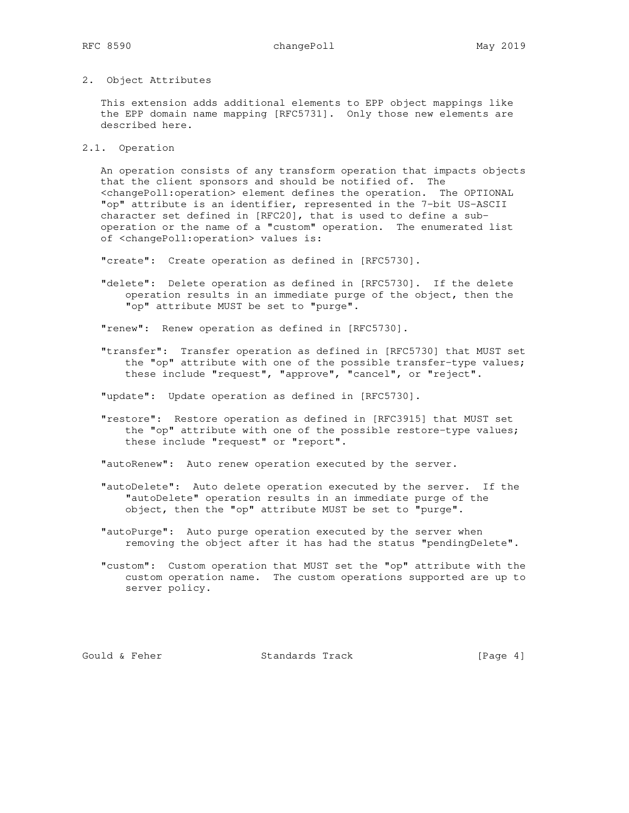### 2. Object Attributes

 This extension adds additional elements to EPP object mappings like the EPP domain name mapping [RFC5731]. Only those new elements are described here.

2.1. Operation

 An operation consists of any transform operation that impacts objects that the client sponsors and should be notified of. The <changePoll:operation> element defines the operation. The OPTIONAL "op" attribute is an identifier, represented in the 7-bit US-ASCII character set defined in [RFC20], that is used to define a sub operation or the name of a "custom" operation. The enumerated list of <changePoll:operation> values is:

"create": Create operation as defined in [RFC5730].

 "delete": Delete operation as defined in [RFC5730]. If the delete operation results in an immediate purge of the object, then the "op" attribute MUST be set to "purge".

"renew": Renew operation as defined in [RFC5730].

 "transfer": Transfer operation as defined in [RFC5730] that MUST set the "op" attribute with one of the possible transfer-type values; these include "request", "approve", "cancel", or "reject".

"update": Update operation as defined in [RFC5730].

 "restore": Restore operation as defined in [RFC3915] that MUST set the "op" attribute with one of the possible restore-type values; these include "request" or "report".

"autoRenew": Auto renew operation executed by the server.

- "autoDelete": Auto delete operation executed by the server. If the "autoDelete" operation results in an immediate purge of the object, then the "op" attribute MUST be set to "purge".
- "autoPurge": Auto purge operation executed by the server when removing the object after it has had the status "pendingDelete".
- "custom": Custom operation that MUST set the "op" attribute with the custom operation name. The custom operations supported are up to server policy.

Gould & Feher Standards Track [Page 4]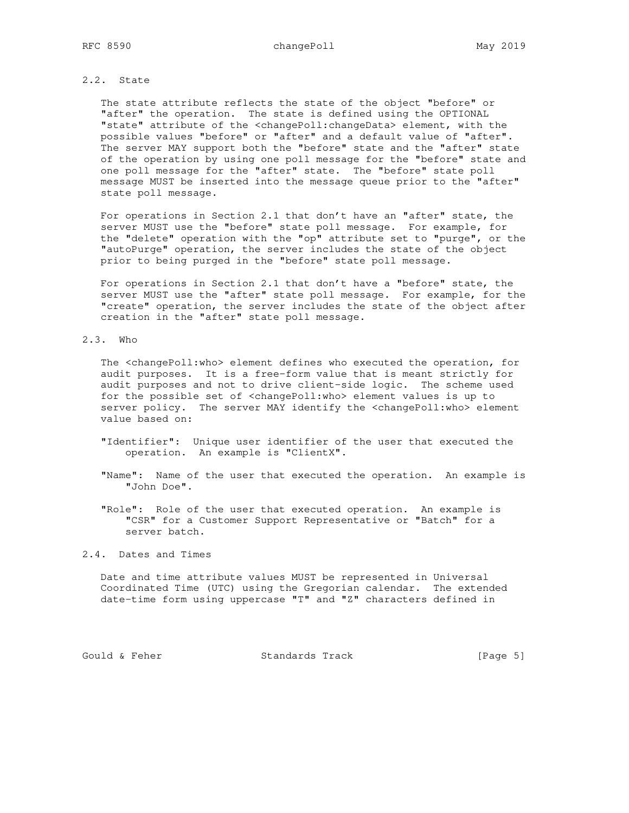## 2.2. State

 The state attribute reflects the state of the object "before" or "after" the operation. The state is defined using the OPTIONAL "state" attribute of the <changePoll:changeData> element, with the possible values "before" or "after" and a default value of "after". The server MAY support both the "before" state and the "after" state of the operation by using one poll message for the "before" state and one poll message for the "after" state. The "before" state poll message MUST be inserted into the message queue prior to the "after" state poll message.

 For operations in Section 2.1 that don't have an "after" state, the server MUST use the "before" state poll message. For example, for the "delete" operation with the "op" attribute set to "purge", or the "autoPurge" operation, the server includes the state of the object prior to being purged in the "before" state poll message.

 For operations in Section 2.1 that don't have a "before" state, the server MUST use the "after" state poll message. For example, for the "create" operation, the server includes the state of the object after creation in the "after" state poll message.

### 2.3. Who

 The <changePoll:who> element defines who executed the operation, for audit purposes. It is a free-form value that is meant strictly for audit purposes and not to drive client-side logic. The scheme used for the possible set of <changePoll:who> element values is up to server policy. The server MAY identify the <changePoll:who> element value based on:

- "Identifier": Unique user identifier of the user that executed the operation. An example is "ClientX".
- "Name": Name of the user that executed the operation. An example is "John Doe".

 "Role": Role of the user that executed operation. An example is "CSR" for a Customer Support Representative or "Batch" for a server batch.

# 2.4. Dates and Times

 Date and time attribute values MUST be represented in Universal Coordinated Time (UTC) using the Gregorian calendar. The extended date-time form using uppercase "T" and "Z" characters defined in

Gould & Feher Standards Track [Page 5]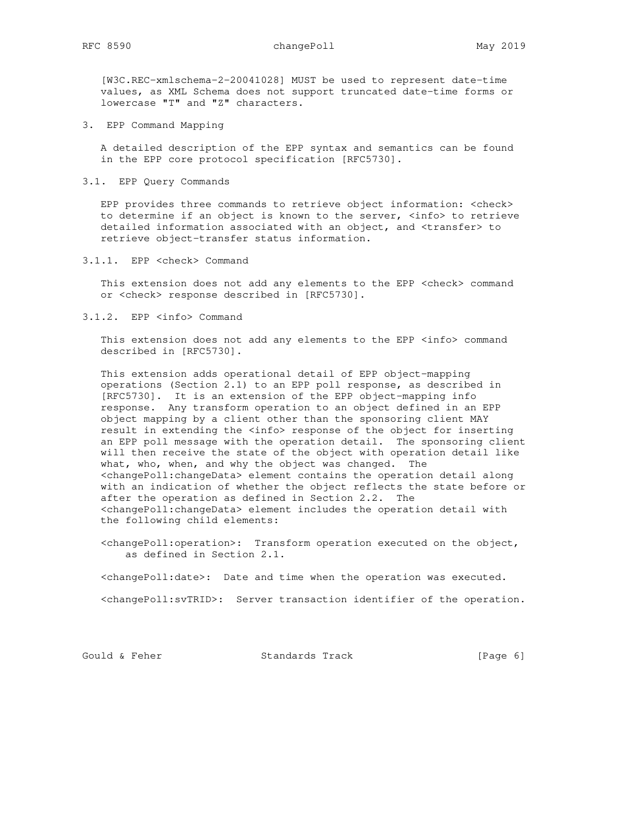[W3C.REC-xmlschema-2-20041028] MUST be used to represent date-time values, as XML Schema does not support truncated date-time forms or lowercase "T" and "Z" characters.

3. EPP Command Mapping

 A detailed description of the EPP syntax and semantics can be found in the EPP core protocol specification [RFC5730].

3.1. EPP Query Commands

 EPP provides three commands to retrieve object information: <check> to determine if an object is known to the server, <info> to retrieve detailed information associated with an object, and <transfer> to retrieve object-transfer status information.

3.1.1. EPP <check> Command

This extension does not add any elements to the EPP <check> command or <check> response described in [RFC5730].

3.1.2. EPP <info> Command

This extension does not add any elements to the EPP <info> command described in [RFC5730].

 This extension adds operational detail of EPP object-mapping operations (Section 2.1) to an EPP poll response, as described in [RFC5730]. It is an extension of the EPP object-mapping info response. Any transform operation to an object defined in an EPP object mapping by a client other than the sponsoring client MAY result in extending the <info> response of the object for inserting an EPP poll message with the operation detail. The sponsoring client will then receive the state of the object with operation detail like what, who, when, and why the object was changed. The <changePoll:changeData> element contains the operation detail along with an indication of whether the object reflects the state before or after the operation as defined in Section 2.2. The <changePoll:changeData> element includes the operation detail with the following child elements:

 <changePoll:operation>: Transform operation executed on the object, as defined in Section 2.1.

<changePoll:date>: Date and time when the operation was executed.

<changePoll:svTRID>: Server transaction identifier of the operation.

Gould & Feher Standards Track [Page 6]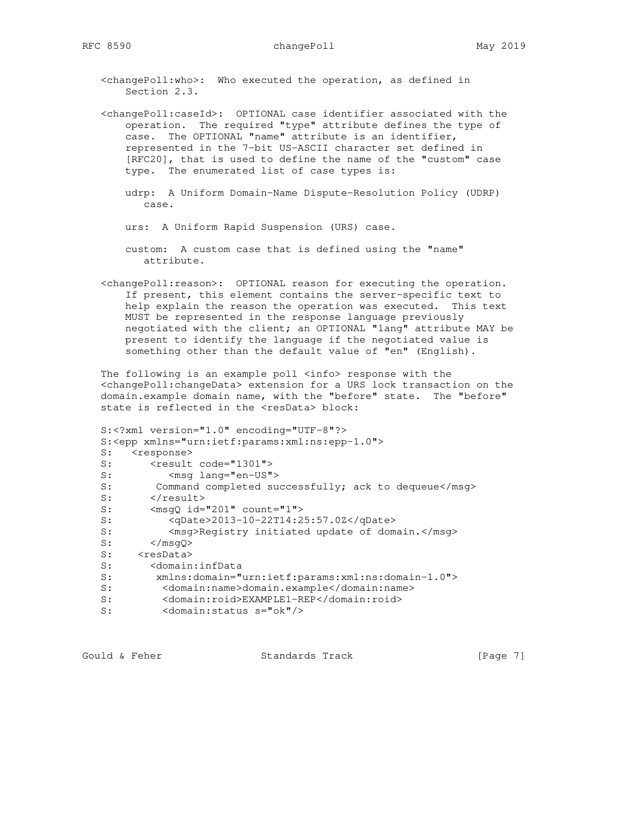<changePoll:who>: Who executed the operation, as defined in Section 2.3.

 <changePoll:caseId>: OPTIONAL case identifier associated with the operation. The required "type" attribute defines the type of case. The OPTIONAL "name" attribute is an identifier, represented in the 7-bit US-ASCII character set defined in [RFC20], that is used to define the name of the "custom" case type. The enumerated list of case types is:

- udrp: A Uniform Domain-Name Dispute-Resolution Policy (UDRP) case.
- urs: A Uniform Rapid Suspension (URS) case.
- custom: A custom case that is defined using the "name" attribute.
- <changePoll:reason>: OPTIONAL reason for executing the operation. If present, this element contains the server-specific text to help explain the reason the operation was executed. This text MUST be represented in the response language previously negotiated with the client; an OPTIONAL "lang" attribute MAY be present to identify the language if the negotiated value is something other than the default value of "en" (English).

 The following is an example poll <info> response with the <changePoll:changeData> extension for a URS lock transaction on the domain.example domain name, with the "before" state. The "before" state is reflected in the <resData> block:

```
 S:<?xml version="1.0" encoding="UTF-8"?>
   S:<epp xmlns="urn:ietf:params:xml:ns:epp-1.0">
  S: <response>
  S: <result code="1301">
  S: < msq lang="en-US">
  S: Command completed successfully; ack to dequeue</msg>
   S: </result>
  S: <msgQ id="201" count="1"><br>S: <qDate>2013-10-22T14:2
           <qDate>2013-10-22T14:25:57.0Z</qDate>
  S: <msg>Registry initiated update of domain.</msg><br>S: </msgQ>
S: \langle /mgQ \rangleS: <resData>
   S: <domain:infData
 S: xmlns:domain="urn:ietf:params:xml:ns:domain-1.0">
 S: <domain:name>domain.example</domain:name>
 S: <domain:roid>EXAMPLE1-REP</domain:roid>
 S: <domain:status s="ok"/>
```
Gould & Feher **Standards Track** [Page 7]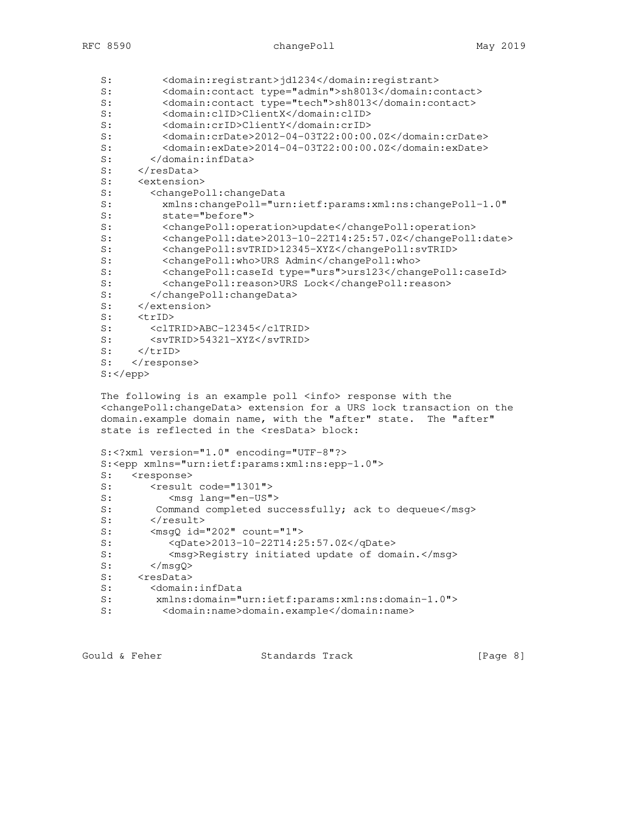| S:   | <domain:registrant>jd1234</domain:registrant>                                         |
|------|---------------------------------------------------------------------------------------|
| S:   | <domain:contact type="admin">sh8013</domain:contact>                                  |
| S:   | <domain: contact="" type="tech">sh8013</domain:>                                      |
| S:   | <domain:clid>ClientX</domain:clid>                                                    |
| S:   | <domain:crid>ClientY</domain:crid>                                                    |
| S:   | <domain:crdate>2012-04-03T22:00:00.0Z</domain:crdate>                                 |
| S:   | <domain:exdate>2014-04-03T22:00:00.0Z</domain:exdate>                                 |
| S:   |                                                                                       |
| S:   | $\langle$ /resData>                                                                   |
| S:   | <extension></extension>                                                               |
| S:   | <changepoll:changedata< td=""></changepoll:changedata<>                               |
| S:   | xmlns: changePoll="urn: ietf: params: xml: ns: changePoll-1.0"                        |
| S:   | state="before">                                                                       |
| S:   | <changepoll:operation>update</changepoll:operation>                                   |
| S:   | <changepoll:date>2013-10-22T14:25:57.0Z</changepoll:date>                             |
| S:   | <changepoll:svtrid>12345-XYZ</changepoll:svtrid>                                      |
| S:   | <changepoll:who>URS Admin</changepoll:who>                                            |
| S:   | <changepoll:caseid type="urs">urs123</changepoll:caseid>                              |
| S:   | <changepoll: reason="">URS Lock</changepoll:>                                         |
| S:   |                                                                                       |
| S:   |                                                                                       |
| S:   | $<$ trID $>$                                                                          |
| S:   | <cltrid>ABC-12345</cltrid>                                                            |
| S:   | $<$ svTRID>54321-XYZ                                                                  |
| S:   | $\langle$ /trID>                                                                      |
| S:   | $\langle$ /response>                                                                  |
| $S:$ |                                                                                       |
|      |                                                                                       |
|      | The following is an example poll <info> response with the</info>                      |
|      | <changepoll: changedata=""> extension for a URS lock transaction on the</changepoll:> |
|      | domain.example domain name, with the "after" state.<br>The "after"                    |

state is reflected in the <resData> block:

```
 S:<?xml version="1.0" encoding="UTF-8"?>
   S:<epp xmlns="urn:ietf:params:xml:ns:epp-1.0">
  S: <response>
  S: <result code="1301">
S: < <msg lang="en-US">
 S: Command completed successfully; ack to dequeue</msg>
S: </result>
S: <msgQ id="202" count="1">
 S: <qDate>2013-10-22T14:25:57.0Z</qDate>
 S: <msg>Registry initiated update of domain.</msg>
S: \langle /mgQ \rangleS: <resData>
 S: <domain:infData
 S: xmlns:domain="urn:ietf:params:xml:ns:domain-1.0">
 S: <domain:name>domain.example</domain:name>
```
Gould & Feher Standards Track [Page 8]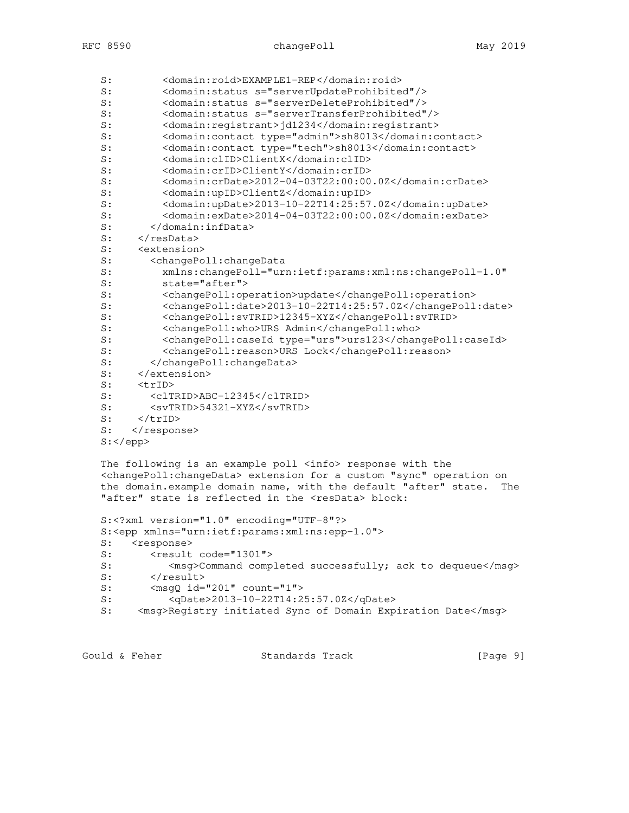```
 S: <domain:roid>EXAMPLE1-REP</domain:roid>
 S: <domain:status s="serverUpdateProhibited"/>
 S: <domain:status s="serverDeleteProhibited"/>
 S: <domain:status s="serverTransferProhibited"/>
S: <domain:registrant>jd1234</domain:registrant><br>S: <domain:contact type="admin">sh8013</domain:c
 S: <domain:contact type="admin">sh8013</domain:contact>
        <domain: contact type="tech">sh8013</domain: contact>
 S: <domain:clID>ClientX</domain:clID>
 S: <domain:crID>ClientY</domain:crID>
 S: <domain:crDate>2012-04-03T22:00:00.0Z</domain:crDate>
 S: <domain:upID>ClientZ</domain:upID>
 S: <domain:upDate>2013-10-22T14:25:57.0Z</domain:upDate>
 S: <domain:exDate>2014-04-03T22:00:00.0Z</domain:exDate>
 S: </domain:infData>
S: </resData>
S: <extension>
 S: <changePoll:changeData
 S: xmlns:changePoll="urn:ietf:params:xml:ns:changePoll-1.0"
 S: state="after">
 S: <changePoll:operation>update</changePoll:operation>
 S: <changePoll:date>2013-10-22T14:25:57.0Z</changePoll:date>
 S: <changePoll:svTRID>12345-XYZ</changePoll:svTRID>
 S: <changePoll:who>URS Admin</changePoll:who>
 S: <changePoll:caseId type="urs">urs123</changePoll:caseId>
 S: <changePoll:reason>URS Lock</changePoll:reason>
 S: </changePoll:changeData>
S: </extension>
S: <trID>
S: <clTRID>ABC-12345</clTRID><br>S: <svTRID>54321-XYZ</svTRID>
S: <svTRID>54321-XYZ</svTRID><br>S: </trID>
    </trID>
S: </response>
 S:</epp>
 The following is an example poll <info> response with the
 <changePoll:changeData> extension for a custom "sync" operation on
 the domain.example domain name, with the default "after" state. The
"after" state is reflected in the <resData> block:
 S:<?xml version="1.0" encoding="UTF-8"?>
 S:<epp xmlns="urn:ietf:params:xml:ns:epp-1.0">
S: <response>
S: <result code="1301">
S: < msq>Command completed successfully; ack to dequeue</msq>
S: </result>
S: < msgQ id="201" count="1">
 S: <qDate>2013-10-22T14:25:57.0Z</qDate>
S: <msg>Registry initiated Sync of Domain Expiration Date</msg>
```
Gould & Feher **Standards Track** [Page 9]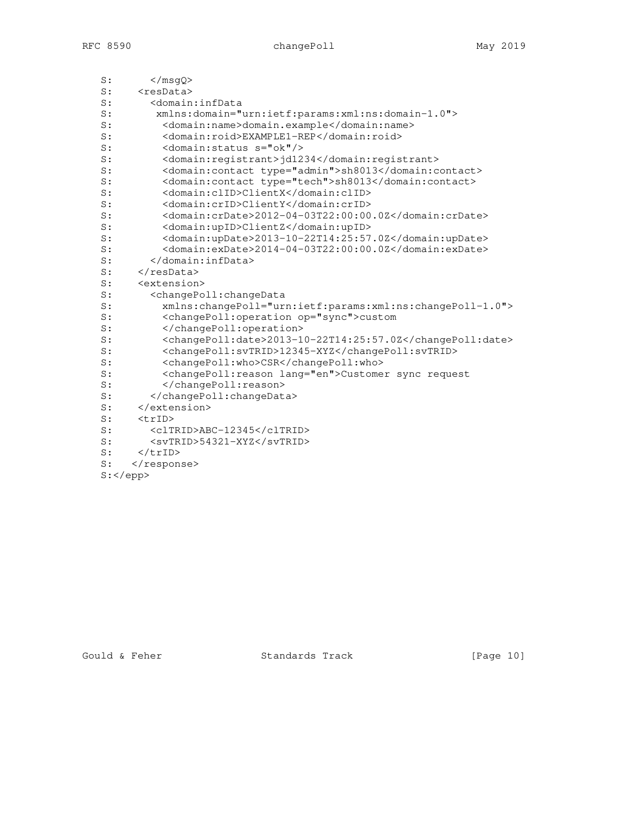# RFC 8590 changePoll changePoll May 2019

| S: | $<$ /msqQ>                                                           |  |  |  |
|----|----------------------------------------------------------------------|--|--|--|
| S: | <resdata></resdata>                                                  |  |  |  |
| S: | <domain:infdata< td=""></domain:infdata<>                            |  |  |  |
| S: | xmlns:domain="urn:ietf:params:xml:ns:domain-1.0">                    |  |  |  |
| S: | <domain:name>domain.example</domain:name>                            |  |  |  |
| S: | <domain:roid>EXAMPLE1-REP</domain:roid>                              |  |  |  |
| S: | <domain: s="ok" status=""></domain:>                                 |  |  |  |
| S: | <domain:registrant>jd1234</domain:registrant>                        |  |  |  |
| S: | <domain: contact="" type="admin">sh8013</domain:>                    |  |  |  |
| S: | <domain: contact="" type="tech">sh8013</domain:>                     |  |  |  |
| S: | <domain:clid>ClientX</domain:clid>                                   |  |  |  |
| S: | <domain:crid>ClientY</domain:crid>                                   |  |  |  |
| S: | <domain:crdate>2012-04-03T22:00:00.0Z</domain:crdate>                |  |  |  |
| S: | <domain:upid>ClientZ</domain:upid>                                   |  |  |  |
| S: | <domain:update>2013-10-22T14:25:57.0Z</domain:update>                |  |  |  |
| S: | <domain:exdate>2014-04-03T22:00:00.0Z</domain:exdate>                |  |  |  |
| S: |                                                                      |  |  |  |
| S: |                                                                      |  |  |  |
| S: | <extension></extension>                                              |  |  |  |
| S: | <changepoll:changedata< td=""></changepoll:changedata<>              |  |  |  |
| S: | xmlns:changePoll="urn:ietf:params:xml:ns:changePoll-1.0">            |  |  |  |
| S: | <changepoll:operation op="sync">custom</changepoll:operation>        |  |  |  |
| S: |                                                                      |  |  |  |
| S: | <changepoll:date>2013-10-22T14:25:57.0Z</changepoll:date>            |  |  |  |
| S: | <changepoll:svtrid>12345-XYZ</changepoll:svtrid>                     |  |  |  |
| S: | <changepoll:who>CSR</changepoll:who>                                 |  |  |  |
| S: | <changepoll: lang="en" reason="">Customer sync request</changepoll:> |  |  |  |
| S: |                                                                      |  |  |  |
| S: |                                                                      |  |  |  |
| S: |                                                                      |  |  |  |
| S: | $<$ trID $>$                                                         |  |  |  |
| S: | <cltrid>ABC-12345</cltrid>                                           |  |  |  |
| S: | <svtrid>54321-XYZ</svtrid>                                           |  |  |  |
| S: | $\langle$ /trID>                                                     |  |  |  |
| S: |                                                                      |  |  |  |
|    | $S:$                                                                 |  |  |  |

Gould & Feher Standards Track [Page 10]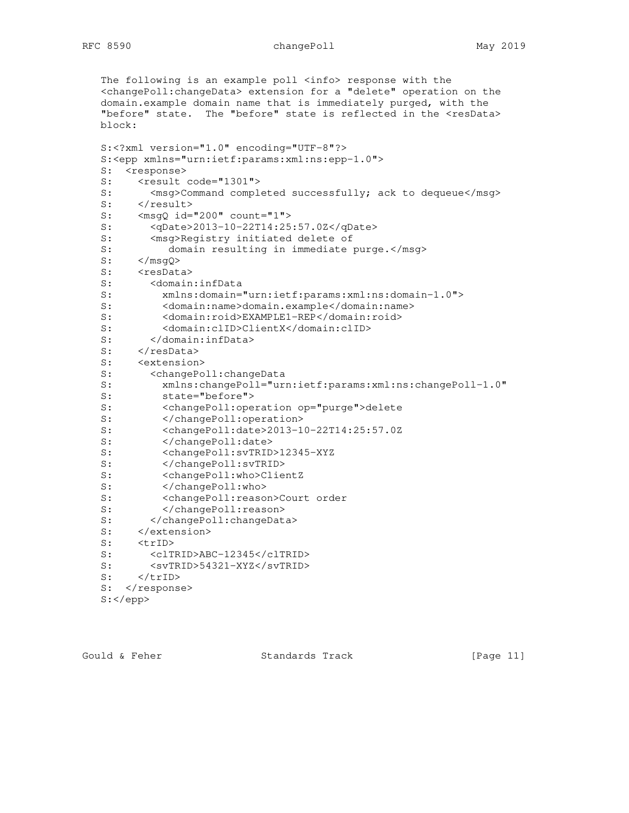The following is an example poll <info> response with the <changePoll:changeData> extension for a "delete" operation on the domain.example domain name that is immediately purged, with the "before" state. The "before" state is reflected in the <resData> block: S:<?xml version="1.0" encoding="UTF-8"?> S:<epp xmlns="urn:ietf:params:xml:ns:epp-1.0"> S: <response> S: <result code="1301"> S: < msg>Command completed successfully; ack to dequeue</msg> S: </result> S:  $\langle \text{msgQ id} = "200" \text{count} = "1" \rangle$  S: <qDate>2013-10-22T14:25:57.0Z</qDate> S: <msg>Registry initiated delete of S: domain resulting in immediate purge.</msg> S: </msgQ> S: <resData> S: <domain:infData S: xmlns:domain="urn:ietf:params:xml:ns:domain-1.0"> S: <domain:name>domain.example</domain:name> S: <domain:roid>EXAMPLE1-REP</domain:roid> S: </domain:clID>ClientX</domain:clID><br>S: </domain:infData> S: </domain:infData> S: </resData> S: < extension> S: <changePoll:changeData S: xmlns:changePoll="urn:ietf:params:xml:ns:changePoll-1.0" S: state="before"><br>S: <changePoll:ope S: <changePoll:operation op="purge">delete<br>S: </changePoll:operation> </changePoll:operation> S: <changePoll:date>2013-10-22T14:25:57.0Z S: </changePoll:date> S: <changePoll:svTRID>12345-XYZ S: </changePoll:svTRID> S: <changePoll:who>ClientZ S: </changePoll:who> S: <changePoll:reason>Court order S: </changePoll:reason> S: </changePoll:changeData> S: </extension> S: <trID> S: <clTRID>ABC-12345</clTRID> S: <svTRID>54321-XYZ</svTRID> S: <br>s: </trID><br>c: </trID> S: </response> S:</epp>

Gould & Feher **Standards Track** [Page 11]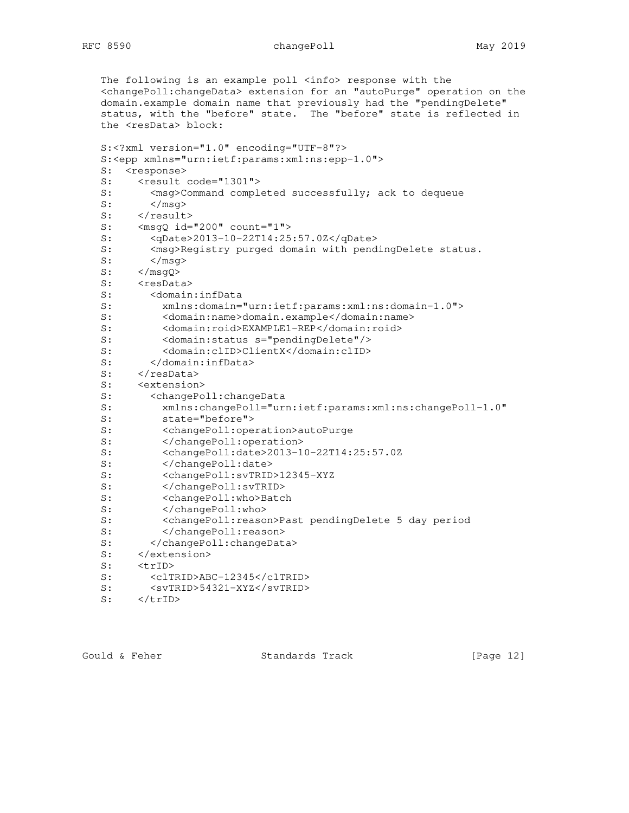The following is an example poll <info> response with the <changePoll:changeData> extension for an "autoPurge" operation on the domain.example domain name that previously had the "pendingDelete" status, with the "before" state. The "before" state is reflected in the <resData> block: S:<?xml version="1.0" encoding="UTF-8"?> S:<epp xmlns="urn:ietf:params:xml:ns:epp-1.0"> S: <response> S: <result code="1301"> S: < msg>Command completed successfully; ack to dequeue  $S:$   $\langle /mg\rangle$ S: </result> S: <msgQ id="200" count="1"> S: <qDate>2013-10-22T14:25:57.0Z</qDate> S: <msg>Registry purged domain with pendingDelete status.  $S:$   $\langle /mg\rangle$ <br>S:  $\langle /mg\phi \rangle$  $\langle$ /msgQ> S: <resData> S: <domain:infData S: xmlns:domain="urn:ietf:params:xml:ns:domain-1.0"> S: <domain:name>domain.example</domain:name> S: <domain:roid>EXAMPLE1-REP</domain:roid> S: <domain:status s="pendingDelete"/> S: <domain:clID>ClientX</domain:clID> </domain:infData> S: </resData> S: <extension> S: <changePoll:changeData<br>S: xmlns:changePoll="ur S: xmlns:changePoll="urn:ietf:params:xml:ns:changePoll-1.0" state="before"> S: <changePoll:operation>autoPurge S:  $\langle$ /changePoll:operation><br>S:  $\langle$ changePoll:date>2013-1 S: <changePoll:date>2013-10-22T14:25:57.0Z S: </changePoll:date> S: <changePoll:svTRID>12345-XYZ S: </changePoll:svTRID> S: <changePoll:who>Batch S: </changePoll:who> S: <changePoll:reason>Past pendingDelete 5 day period S: </changePoll:reason><br>S: </changePoll:changeDat </changePoll:changeData> S: </extension> S: <trID> S: <clTRID>ABC-12345</clTRID> S: <svTRID>54321-XYZ</svTRID>

S: </trID>

Gould & Feher **Standards Track** [Page 12]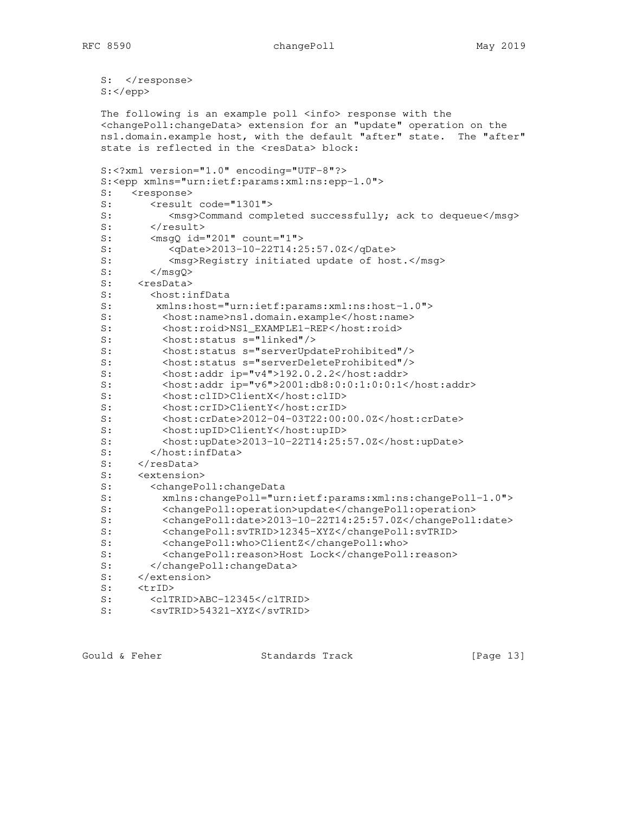S: </response> S:</epp>

 The following is an example poll <info> response with the <changePoll:changeData> extension for an "update" operation on the ns1.domain.example host, with the default "after" state. The "after" state is reflected in the <resData> block: S:<?xml version="1.0" encoding="UTF-8"?> S:<epp xmlns="urn:ietf:params:xml:ns:epp-1.0"> S: <response> S: <result code="1301"> S: < msg>Command completed successfully; ack to dequeue</msg> S: </result> S: <msgQ id="201" count="1"> S: <qDate>2013-10-22T14:25:57.0Z</qDate> S: </msg>Registry initiated update of host.</msg><br>S: </msg0>  $\langle$ /msqQ $>$ S: <resData> S: <host:infData S: xmlns:host="urn:ietf:params:xml:ns:host-1.0"> S: <host:name>ns1.domain.example</host:name> S: <host:roid>NS1\_EXAMPLE1-REP</host:roid> <host: status s="linked"/> S: <host:status s="serverUpdateProhibited"/> S: <host:status s="serverDeleteProhibited"/> S: <host:addr ip="v4">192.0.2.2</host:addr> S: <host:addr ip="v6">2001:db8:0:0:1:0:0:1</host:addr> S: <host:clID>ClientX</host:clID> S: <host:crID>ClientY</host:crID> <host: crDate>2012-04-03T22:00:00.0Z</host: crDate> S: <host:upID>ClientY</host:upID> S: <host:upDate>2013-10-22T14:25:57.0Z</host:upDate> S: </host:infData> S: </resData> S: <extension> S: <changePoll:changeData S: xmlns:changePoll="urn:ietf:params:xml:ns:changePoll-1.0"> S: <changePoll:operation>update</changePoll:operation> S: <changePoll:date>2013-10-22T14:25:57.0Z</changePoll:date> S: <changePoll:svTRID>12345-XYZ</changePoll:svTRID> S: <changePoll:who>ClientZ</changePoll:who> S: <changePoll:reason>Host Lock</changePoll:reason> </changePoll:changeData> S: </extension> S: <trID> S: <clTRID>ABC-12345</clTRID> S: <svTRID>54321-XYZ</svTRID>

Gould & Feher **Standards Track** [Page 13]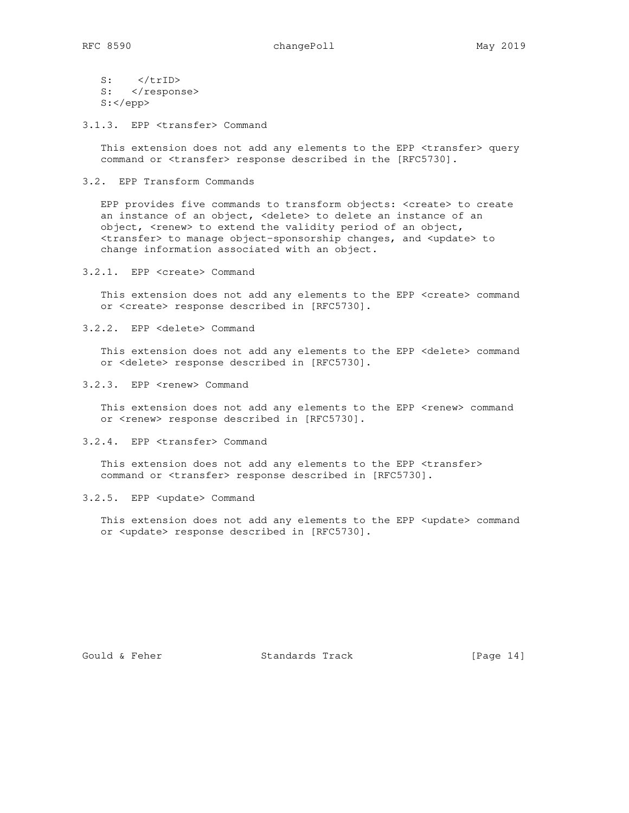$S:$  </trID> S: </response> S:</epp>

3.1.3. EPP <transfer> Command

This extension does not add any elements to the EPP <transfer> query command or <transfer> response described in the [RFC5730].

### 3.2. EPP Transform Commands

 EPP provides five commands to transform objects: <create> to create an instance of an object, <delete> to delete an instance of an object, <renew> to extend the validity period of an object, <transfer> to manage object-sponsorship changes, and <update> to change information associated with an object.

3.2.1. EPP <create> Command

 This extension does not add any elements to the EPP <create> command or <create> response described in [RFC5730].

3.2.2. EPP <delete> Command

This extension does not add any elements to the EPP <delete> command or <delete> response described in [RFC5730].

3.2.3. EPP <renew> Command

This extension does not add any elements to the EPP <renew> command or <renew> response described in [RFC5730].

3.2.4. EPP <transfer> Command

 This extension does not add any elements to the EPP <transfer> command or <transfer> response described in [RFC5730].

3.2.5. EPP <update> Command

This extension does not add any elements to the EPP <update> command or <update> response described in [RFC5730].

Gould & Feher Standards Track [Page 14]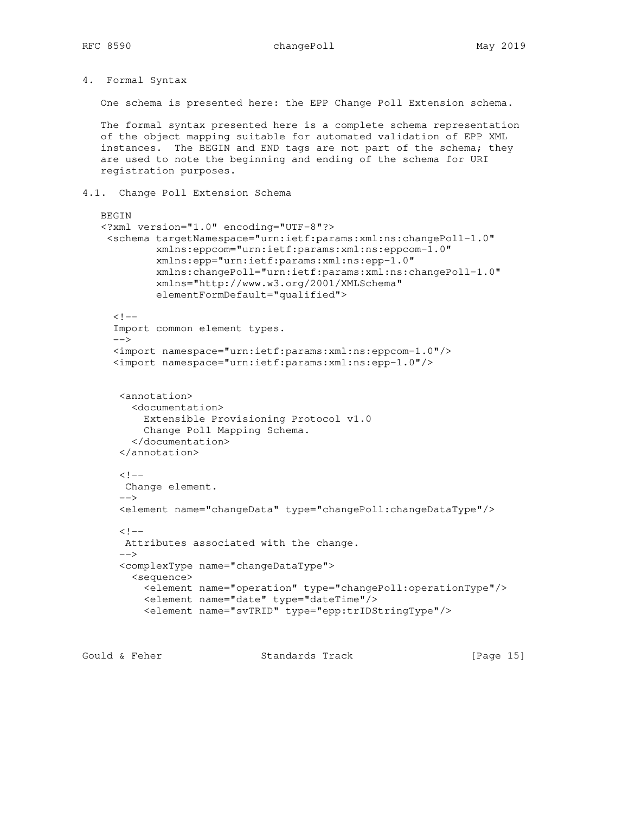4. Formal Syntax

One schema is presented here: the EPP Change Poll Extension schema.

 The formal syntax presented here is a complete schema representation of the object mapping suitable for automated validation of EPP XML instances. The BEGIN and END tags are not part of the schema; they are used to note the beginning and ending of the schema for URI registration purposes.

## 4.1. Change Poll Extension Schema

```
 BEGIN
   <?xml version="1.0" encoding="UTF-8"?>
    <schema targetNamespace="urn:ietf:params:xml:ns:changePoll-1.0"
             xmlns:eppcom="urn:ietf:params:xml:ns:eppcom-1.0"
             xmlns:epp="urn:ietf:params:xml:ns:epp-1.0"
             xmlns:changePoll="urn:ietf:params:xml:ns:changePoll-1.0"
             xmlns="http://www.w3.org/2001/XMLSchema"
             elementFormDefault="qualified">
     <! -- Import common element types.
     --&> <import namespace="urn:ietf:params:xml:ns:eppcom-1.0"/>
      <import namespace="urn:ietf:params:xml:ns:epp-1.0"/>
       <annotation>
         <documentation>
           Extensible Provisioning Protocol v1.0
           Change Poll Mapping Schema.
         </documentation>
       </annotation>
      \lt!! - Change element.
 -->
       <element name="changeData" type="changePoll:changeDataType"/>
     \lt!! --
       Attributes associated with the change.
      --&> <complexType name="changeDataType">
         <sequence>
           <element name="operation" type="changePoll:operationType"/>
           <element name="date" type="dateTime"/>
           <element name="svTRID" type="epp:trIDStringType"/>
```
Gould & Feher **Standards Track** [Page 15]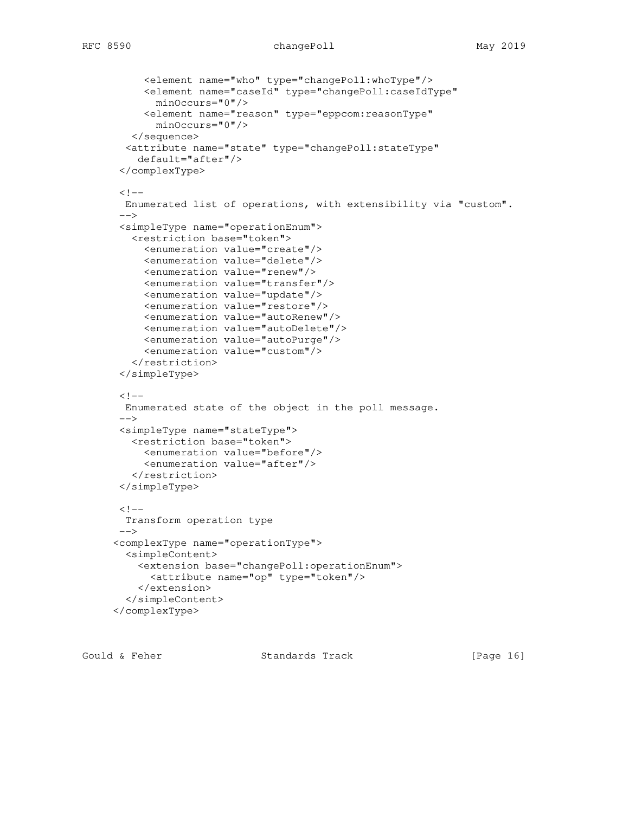```
 <element name="who" type="changePoll:whoType"/>
      <element name="caseId" type="changePoll:caseIdType"
        minOccurs="0"/>
      <element name="reason" type="eppcom:reasonType"
        minOccurs="0"/>
    </sequence>
   <attribute name="state" type="changePoll:stateType"
     default="after"/>
  </complexType>
 \lt!! -- Enumerated list of operations, with extensibility via "custom".
  -->
  <simpleType name="operationEnum">
    <restriction base="token">
      <enumeration value="create"/>
      <enumeration value="delete"/>
      <enumeration value="renew"/>
      <enumeration value="transfer"/>
      <enumeration value="update"/>
      <enumeration value="restore"/>
      <enumeration value="autoRenew"/>
      <enumeration value="autoDelete"/>
      <enumeration value="autoPurge"/>
      <enumeration value="custom"/>
    </restriction>
  </simpleType>
 \lt!! -- Enumerated state of the object in the poll message.
 --&> <simpleType name="stateType">
   <restriction base="token">
      <enumeration value="before"/>
      <enumeration value="after"/>
    </restriction>
  </simpleType>
 <! - Transform operation type
  -->
 <complexType name="operationType">
   <simpleContent>
     <extension base="changePoll:operationEnum">
       <attribute name="op" type="token"/>
     </extension>
   </simpleContent>
 </complexType>
```
Gould & Feher **Standards Track** [Page 16]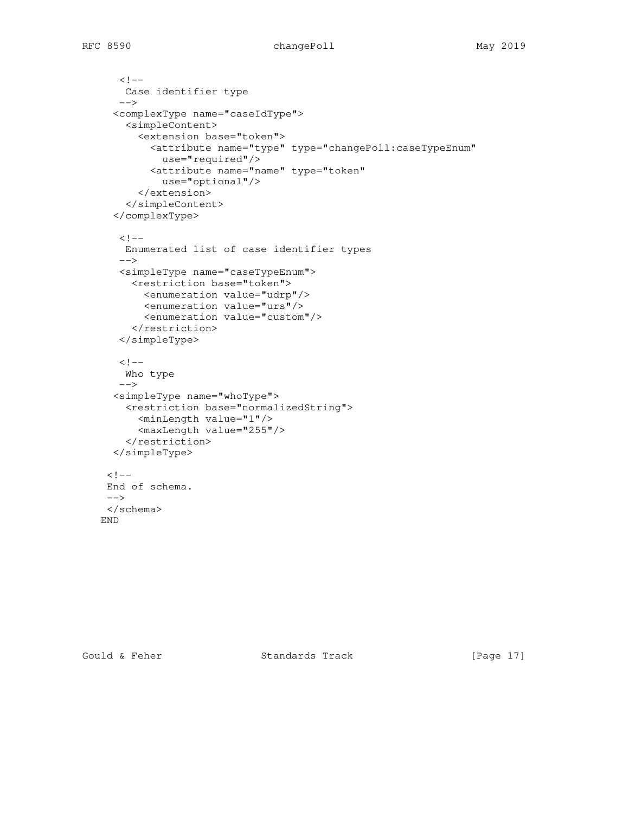```
\lt!! --
     Case identifier type
   --& <complexType name="caseIdType">
     <simpleContent>
       <extension base="token">
         <attribute name="type" type="changePoll:caseTypeEnum"
          use="required"/>
         <attribute name="name" type="token"
           use="optional"/>
       </extension>
     </simpleContent>
   </complexType>
   \lt! --
     Enumerated list of case identifier types
   --& <simpleType name="caseTypeEnum">
      <restriction base="token">
        <enumeration value="udrp"/>
        <enumeration value="urs"/>
        <enumeration value="custom"/>
      </restriction>
    </simpleType>
   \lt!! -- Who type
   --& <simpleType name="whoType">
     <restriction base="normalizedString">
      <minLength value="1"/>
       <maxLength value="255"/>
     </restriction>
   </simpleType>
 \lt!! - End of schema.
 --& </schema>
 END
```
Gould & Feher Standards Track [Page 17]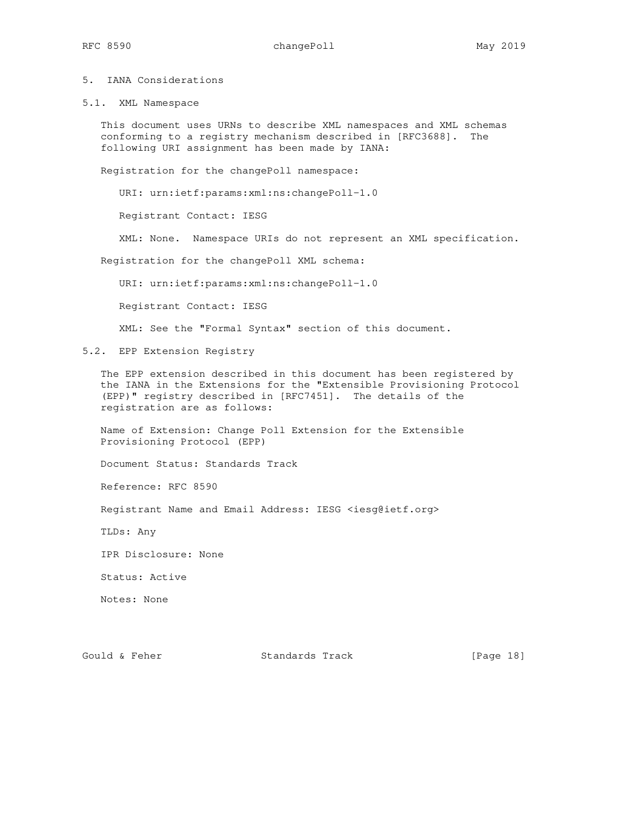## 5. IANA Considerations

5.1. XML Namespace

 This document uses URNs to describe XML namespaces and XML schemas conforming to a registry mechanism described in [RFC3688]. The following URI assignment has been made by IANA:

Registration for the changePoll namespace:

URI: urn:ietf:params:xml:ns:changePoll-1.0

Registrant Contact: IESG

XML: None. Namespace URIs do not represent an XML specification.

Registration for the changePoll XML schema:

URI: urn:ietf:params:xml:ns:changePoll-1.0

Registrant Contact: IESG

XML: See the "Formal Syntax" section of this document.

5.2. EPP Extension Registry

 The EPP extension described in this document has been registered by the IANA in the Extensions for the "Extensible Provisioning Protocol (EPP)" registry described in [RFC7451]. The details of the registration are as follows:

 Name of Extension: Change Poll Extension for the Extensible Provisioning Protocol (EPP)

Document Status: Standards Track

Reference: RFC 8590

Registrant Name and Email Address: IESG <iesg@ietf.org>

TLDs: Any

IPR Disclosure: None

Status: Active

Notes: None

Gould & Feher Standards Track [Page 18]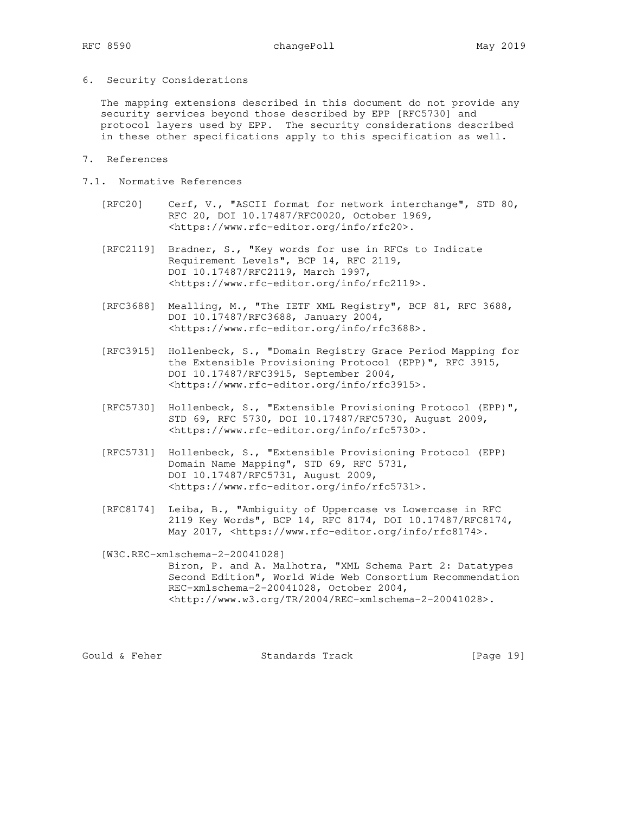6. Security Considerations

 The mapping extensions described in this document do not provide any security services beyond those described by EPP [RFC5730] and protocol layers used by EPP. The security considerations described in these other specifications apply to this specification as well.

- 7. References
- 7.1. Normative References
	- [RFC20] Cerf, V., "ASCII format for network interchange", STD 80, RFC 20, DOI 10.17487/RFC0020, October 1969, <https://www.rfc-editor.org/info/rfc20>.
	- [RFC2119] Bradner, S., "Key words for use in RFCs to Indicate Requirement Levels", BCP 14, RFC 2119, DOI 10.17487/RFC2119, March 1997, <https://www.rfc-editor.org/info/rfc2119>.
	- [RFC3688] Mealling, M., "The IETF XML Registry", BCP 81, RFC 3688, DOI 10.17487/RFC3688, January 2004, <https://www.rfc-editor.org/info/rfc3688>.
	- [RFC3915] Hollenbeck, S., "Domain Registry Grace Period Mapping for the Extensible Provisioning Protocol (EPP)", RFC 3915, DOI 10.17487/RFC3915, September 2004, <https://www.rfc-editor.org/info/rfc3915>.
	- [RFC5730] Hollenbeck, S., "Extensible Provisioning Protocol (EPP)", STD 69, RFC 5730, DOI 10.17487/RFC5730, August 2009, <https://www.rfc-editor.org/info/rfc5730>.
	- [RFC5731] Hollenbeck, S., "Extensible Provisioning Protocol (EPP) Domain Name Mapping", STD 69, RFC 5731, DOI 10.17487/RFC5731, August 2009, <https://www.rfc-editor.org/info/rfc5731>.
	- [RFC8174] Leiba, B., "Ambiguity of Uppercase vs Lowercase in RFC 2119 Key Words", BCP 14, RFC 8174, DOI 10.17487/RFC8174, May 2017, <https://www.rfc-editor.org/info/rfc8174>.

 [W3C.REC-xmlschema-2-20041028] Biron, P. and A. Malhotra, "XML Schema Part 2: Datatypes Second Edition", World Wide Web Consortium Recommendation REC-xmlschema-2-20041028, October 2004,

<http://www.w3.org/TR/2004/REC-xmlschema-2-20041028>.

Gould & Feher Standards Track [Page 19]